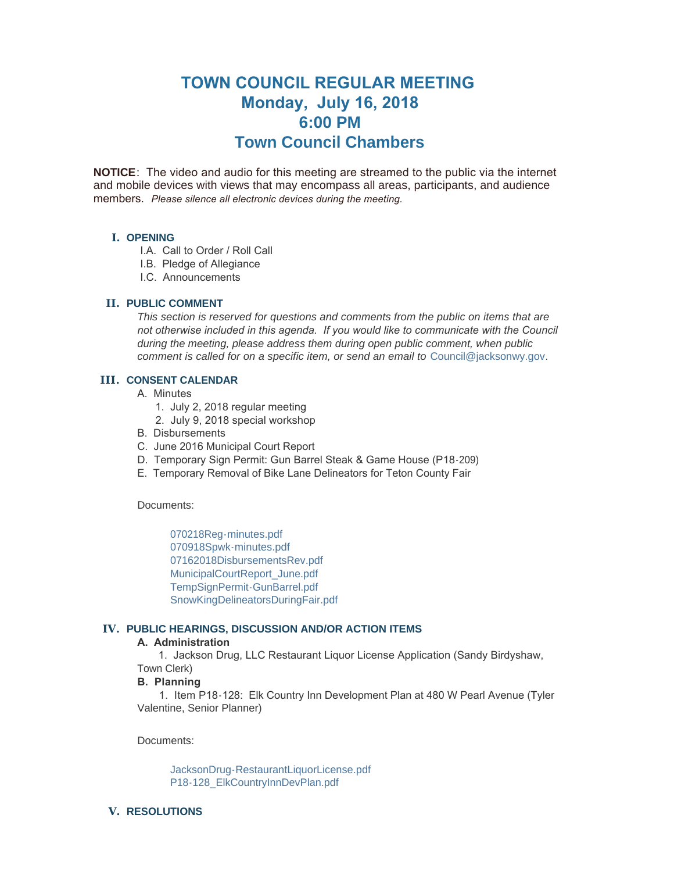# **TOWN COUNCIL REGULAR MEETING Monday, July 16, 2018 6:00 PM Town Council Chambers**

**NOTICE**: The video and audio for this meeting are streamed to the public via the internet and mobile devices with views that may encompass all areas, participants, and audience members. *Please silence all electronic devices during the meeting.* 

# **I. OPENING**

- I.A. Call to Order / Roll Call
- I.B. Pledge of Allegiance
- I.C. Announcements

# **PUBLIC COMMENT II.**

*This section is reserved for questions and comments from the public on items that are*  not otherwise included in this agenda. If you would like to communicate with the Council *during the meeting, please address them during open public comment, when public comment is called for on a specific item, or send an email to* [Council@jacksonwy.gov](mailto:)*.*

# **CONSENT CALENDAR III.**

- A. Minutes
	- 1. July 2, 2018 regular meeting
	- 2. July 9, 2018 special workshop
- B. Disbursements
- C. June 2016 Municipal Court Report
- D. Temporary Sign Permit: Gun Barrel Steak & Game House (P18-209)
- E. Temporary Removal of Bike Lane Delineators for Teton County Fair

Documents:

[070218Reg-minutes.pdf](https://www.jacksonwy.gov/AgendaCenter/ViewFile/Item/1320?fileID=3801) [070918Spwk-minutes.pdf](https://www.jacksonwy.gov/AgendaCenter/ViewFile/Item/1320?fileID=3802) [07162018DisbursementsRev.pdf](https://www.jacksonwy.gov/AgendaCenter/ViewFile/Item/1320?fileID=3816) [MunicipalCourtReport\\_June.pdf](https://www.jacksonwy.gov/AgendaCenter/ViewFile/Item/1320?fileID=3799) [TempSignPermit-GunBarrel.pdf](https://www.jacksonwy.gov/AgendaCenter/ViewFile/Item/1320?fileID=3804) [SnowKingDelineatorsDuringFair.pdf](https://www.jacksonwy.gov/AgendaCenter/ViewFile/Item/1320?fileID=3800)

## **PUBLIC HEARINGS, DISCUSSION AND/OR ACTION ITEMS IV.**

## **A. Administration**

 1. Jackson Drug, LLC Restaurant Liquor License Application (Sandy Birdyshaw, Town Clerk)

## **B. Planning**

 1. Item P18-128: Elk Country Inn Development Plan at 480 W Pearl Avenue (Tyler Valentine, Senior Planner)

Documents:

[JacksonDrug-RestaurantLiquorLicense.pdf](https://www.jacksonwy.gov/AgendaCenter/ViewFile/Item/1374?fileID=3805) [P18-128\\_ElkCountryInnDevPlan.pdf](https://www.jacksonwy.gov/AgendaCenter/ViewFile/Item/1374?fileID=3806)

# **RESOLUTIONS V.**